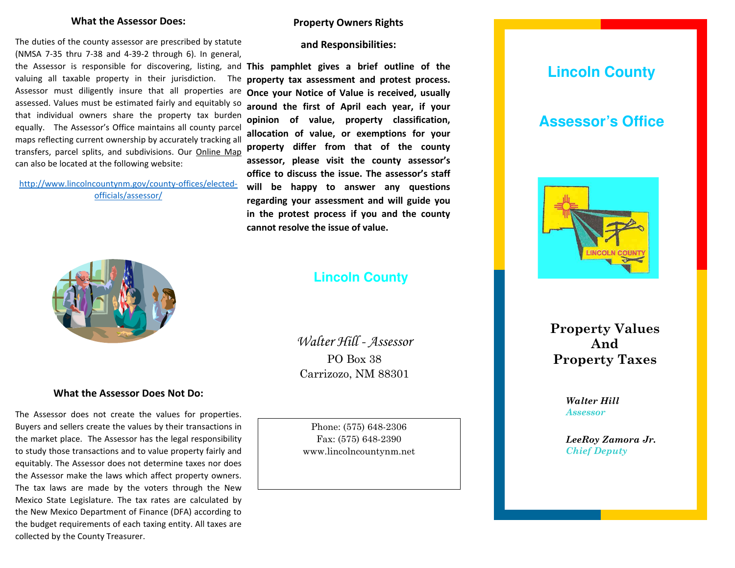### **What the Assessor Does:**

The duties of the county assessor are prescribed by statute (NMSA 7-35 thru 7-38 and 4-39-2 through 6). In general, the Assessor is responsible for discovering, listing, and **This pamphlet gives a brief outline of the**  valuing all taxable property in their jurisdiction. The Assessor must diligently insure that all properties are assessed. Values must be estimated fairly and equitably so that individual owners share the property tax burden equally. The Assessor's Office maintains all county parcel maps reflecting current ownership by accurately tracking all transfers, parcel splits, and subdivisions. Our Online Map can also be located at the following website:

[http://www.lincolncountynm.gov/county-offices/elected](http://www.lincolncountynm.gov/county-offices/elected-officials/assessor/)[officials/assessor/](http://www.lincolncountynm.gov/county-offices/elected-officials/assessor/)



## **What the Assessor Does Not Do:**

The Assessor does not create the values for properties. Buyers and sellers create the values by their transactions in the market place. The Assessor has the legal responsibility to study those transactions and to value property fairly and equitably. The Assessor does not determine taxes nor does the Assessor make the laws which affect property owners. The tax laws are made by the voters through the New Mexico State Legislature. The tax rates are calculated by the New Mexico Department of Finance (DFA) according to the budget requirements of each taxing entity. All taxes are collected by the County Treasurer.

### **Property Owners Rights**

**and Responsibilities:** 

**property tax assessment and protest process. Once your Notice of Value is received, usually around the first of April each year, if your opinion of value, property classification, allocation of value, or exemptions for your property differ from that of the county assessor, please visit the county assessor's office to discuss the issue. The assessor's staff will be happy to answer any questions regarding your assessment and will guide you in the protest process if you and the county cannot resolve the issue of value.** 

## **Lincoln County**

Walter Hill - Assessor PO Box 38 Carrizozo, NM 88301

Phone: (575) 648-2306 Fax: (575) 648-2390 www.lincolncountynm.net

# **Lincoln County**

## **Assessor's Office**



**Property Values And Property Taxes**

> *Walter Hill Walter Hill Assessor Assessor*

*LeeRoy Zamora Jr LeeRoy Zamora Jr. Chief Deputy Chief Deputy*